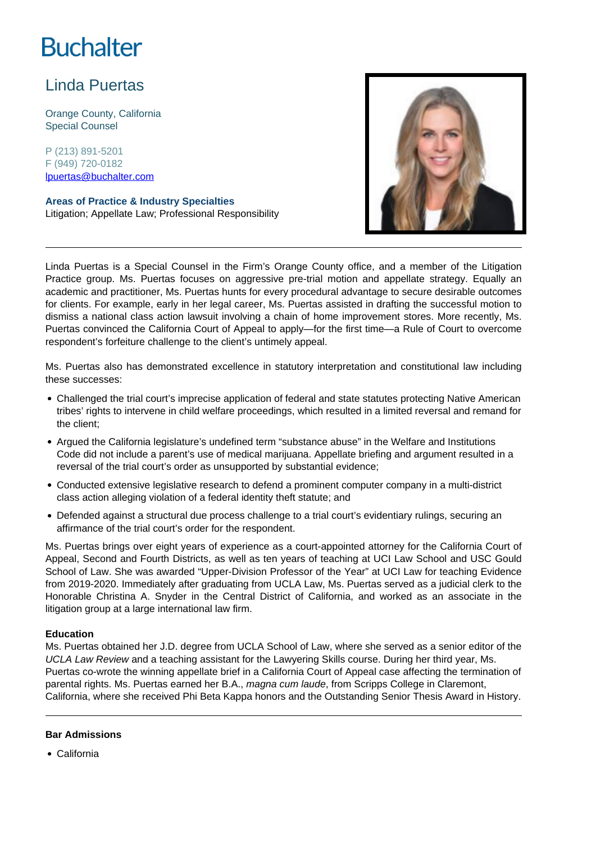# **Buchalter**

## Linda Puertas

Orange County, California Special Counsel

P (213) 891-5201 F (949) 720-0182 lpuertas@buchalter.com

**Areas of Practice & Industry Specialties** Litigation; Appellate Law; Professional Responsibility



Linda Puertas is a Special Counsel in the Firm's Orange County office, and a member of the Litigation Practice group. Ms. Puertas focuses on aggressive pre-trial motion and appellate strategy. Equally an academic and practitioner, Ms. Puertas hunts for every procedural advantage to secure desirable outcomes for clients. For example, early in her legal career, Ms. Puertas assisted in drafting the successful motion to dismiss a national class action lawsuit involving a chain of home improvement stores. More recently, Ms. Puertas convinced the California Court of Appeal to apply—for the first time—a Rule of Court to overcome respondent's forfeiture challenge to the client's untimely appeal.

Ms. Puertas also has demonstrated excellence in statutory interpretation and constitutional law including these successes:

- Challenged the trial court's imprecise application of federal and state statutes protecting Native American tribes' rights to intervene in child welfare proceedings, which resulted in a limited reversal and remand for the client;
- Argued the California legislature's undefined term "substance abuse" in the Welfare and Institutions Code did not include a parent's use of medical marijuana. Appellate briefing and argument resulted in a reversal of the trial court's order as unsupported by substantial evidence;
- Conducted extensive legislative research to defend a prominent computer company in a multi-district class action alleging violation of a federal identity theft statute; and
- Defended against a structural due process challenge to a trial court's evidentiary rulings, securing an affirmance of the trial court's order for the respondent.

Ms. Puertas brings over eight years of experience as a court-appointed attorney for the California Court of Appeal, Second and Fourth Districts, as well as ten years of teaching at UCI Law School and USC Gould School of Law. She was awarded "Upper-Division Professor of the Year" at UCI Law for teaching Evidence from 2019-2020. Immediately after graduating from UCLA Law, Ms. Puertas served as a judicial clerk to the Honorable Christina A. Snyder in the Central District of California, and worked as an associate in the litigation group at a large international law firm.

#### **Education**

Ms. Puertas obtained her J.D. degree from UCLA School of Law, where she served as a senior editor of the UCLA Law Review and a teaching assistant for the Lawyering Skills course. During her third year, Ms. Puertas co-wrote the winning appellate brief in a California Court of Appeal case affecting the termination of parental rights. Ms. Puertas earned her B.A., magna cum laude, from Scripps College in Claremont, California, where she received Phi Beta Kappa honors and the Outstanding Senior Thesis Award in History.

#### **Bar Admissions**

California